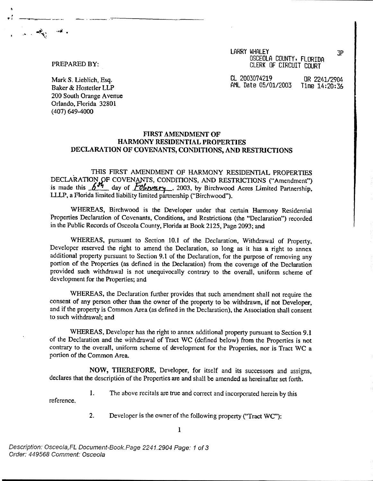LARRY WHALEY 3P OSCEOLA COUNTY, FLORIDA CLERK OF CIRCUIT COURT

AML Date 05/01/2003

CL 2003074219 0R 2241/2904<br>AML Date 05/01/2003 Time 14:20:36

PREPARED BY:

Mark S. Lieblich, Esq. Baker & Hostetler LLP 200 South Orange Avenue Orlando, Florida 32801 (407) 649-4000

## **FIRST AMENDMENT OF HARMONY RESIDENTIAL PROPERTIES DECLARATION OF COVENANTS, CONDITIONS, AND RESTRICTIONS**

THIS FIRST AMENDMENT OF HARMONY RESIDENTIAL PROPERTIES DECLARATION OF COVEN ANTS, CONDITIONS, AND RESTRICTIONS ("Amendment") is made this  $64$  day of *February*, 2003, by Birchwood Acres Limited Partnership, LLLP, a Florida limited liability limited partnership ("Birchwood").

WHEREAS, Birchwood is the Developer under that certain Harmony Residential Properties Declaration of Covenants, Conditions, and Restrictions (the "Declaration") recorded in the Public Records of Osceola County, Florida at Book 2125, Page 2093; and

WHEREAS, pursuant to Section 10.1 of the Declaration, Withdrawal of Property, Developer reserved the right to amend the Declaration, so long as it has a right to annex additional property pursuant to Section 9.1 of the Declaration, for the purpose of removing any portion of the Properties (as defined in the Declaration) from the coverage of the Declaration provided such withdrawal is not unequivocally contrary to the overall, uniform scheme of development for the Properties; and

WHEREAS, the Declaration further provides that such amendment shall not require the consent of any person other than the owner of the property to be withdrawn, if not Developer, and if the property is Common Area (as defined in the Declaration), the Association shall consent to such withdrawal; and

WHEREAS, Developer has the right to annex additional property pursuant to Section 9.1 of the Declaration and the withdrawal of Tract WC (defined below) from the Properties is not contrary to the overall, uniform scheme of development for the Properties, nor is Tract WC a portion of the Common Area.

NOW, THEREFORE, Developer, for itself and its successors and assigns, declares that the description of the Properties are and shall be amended as hereinafter set forth.

reference, 1. The above recitals are true and correct and incorporated herein by this

2. Developer is the owner of the following property ("Tract WC"):

Description: Osceola, FL Document-Book. Page 2241.2904 Page: 1 of 3 Order: 449568 Comment: Osceola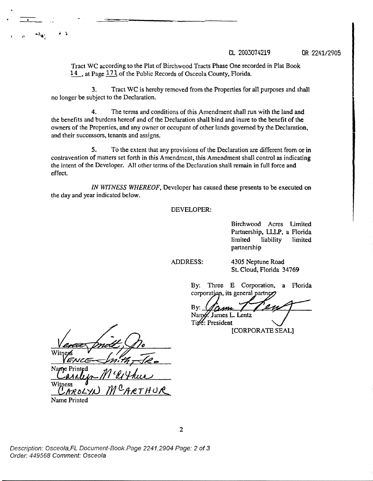CL 2003074219 OR 2241/2905

Tract WC according to the Plat of Birchwood Tracts Phase One recorded in Plat Book 14 , at Page 171 of the Public Records of Osceola County, Florida.

3. Tract WC is hereby removed from the Properties for all purposes and shall no longer be subject to the Declaration.

4. The terms and conditions of this Amendment shall run with the land and the benefits and burdens hereof and of the Declaration shall bind and inure to the benefit of the owners of the Properties, and any owner or occupant of other lands governed by the Declaration, and their successors, tenants and assigns.

**5.** To the extent that any provisions of the Declaration are different from or in contravention of matters set forth in this Amendment, this Amendment shall control as indicating the intent of the Developer. All other terms of the Declaration shall remain in full force and effect.

*IN WITNESS WHEREOF,* Developer has caused these presents to be executed on the day and year indicated below.

## DEVELOPER:

Birchwood Acres Limited Partnership, LLLP, a Florida limited liability limited partnership

ADDRESS: 4305 Neptune Road St. Cloud, Florida 34769

> By: Three E Corporation, a Florida corporation, its general partne

By: Name James L. Lentz Tine: President **Air ..L.e.ird**

[CORPORATE SEAL]

Name Printer Witness <sup>UNCSS</sup><br>CAROLYN M<sup>C</sup>ARTHU

Name Printed

2

Description: Osceola,FL Document-Book.Page 2241.2904 Page: 2 of 3 Order: 449568 Comment: Osceola